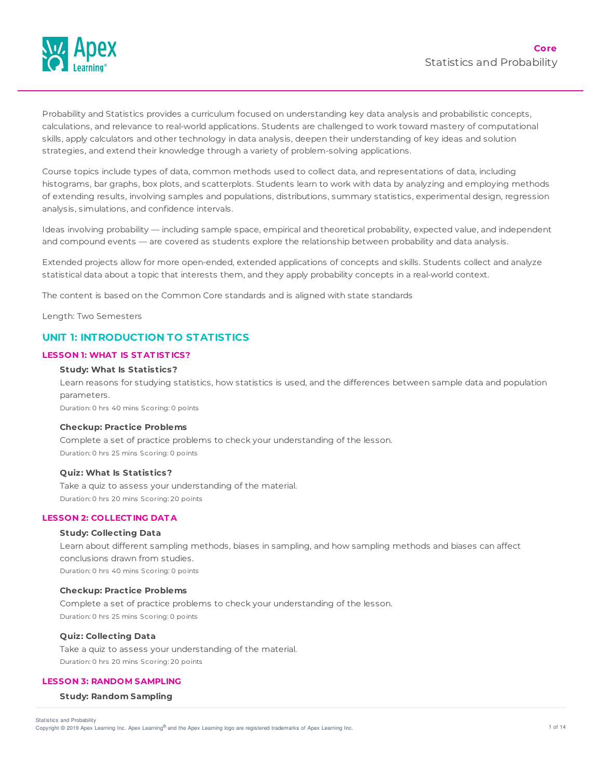

Probability and Statistics provides a curriculum focused on understanding key data analysis and probabilistic concepts, calculations, and relevance to real-world applications. Students are challenged to work toward mastery of computational skills, apply calculators and other technology in data analysis, deepen their understanding of key ideas and solution strategies, and extend their knowledge through a variety of problem-solving applications.

Course topics include types of data, common methods used to collect data, and representations of data, including histograms, bar graphs, box plots, and scatterplots. Students learn to work with data by analyzing and employing methods of extending results, involving samples and populations, distributions, summary statistics, experimental design, regression analysis, simulations, and confidence intervals.

Ideas involving probability — including sample space, empirical and theoretical probability, expected value, and independent and compound events — are covered as students explore the relationship between probability and data analysis.

Extended projects allow for more open-ended, extended applications of concepts and skills. Students collect and analyze statistical data about a topic that interests them, and they apply probability concepts in a real-world context.

The content is based on the Common Core standards and is aligned with state standards

Length: Two Semesters

# **UNIT 1: INTRODUCTION TO STATISTICS**

#### **LESSON 1: WHAT IS ST AT IST ICS?**

### **Study: What Is Statistics?**

Learn reasons for studying statistics, how statistics is used, and the differences between sample data and population parameters.

Duration: 0 hrs 40 mins Scoring: 0 points

#### **Checkup: Practice Problems**

Complete a set of practice problems to check your understanding of the lesson. Duration: 0 hrs 25 mins Scoring: 0 points

## **Quiz: What Is Statistics?**

Take a quiz to assess your understanding of the material. Duration: 0 hrs 20 mins Scoring: 20 points

# **LESSON 2: COLLECT ING DAT A**

### **Study: Collecting Data**

Learn about different sampling methods, biases in sampling, and how sampling methods and biases can affect conclusions drawn from studies. Duration: 0 hrs 40 mins Scoring: 0 points

#### **Checkup: Practice Problems**

Complete a set of practice problems to check your understanding of the lesson. Duration: 0 hrs 25 mins Scoring: 0 points

### **Quiz: Collecting Data**

Take a quiz to assess your understanding of the material. Duration: 0 hrs 20 mins Scoring: 20 points

### **LESSON 3: RANDOM SAMPLING**

### **Study: Random Sampling**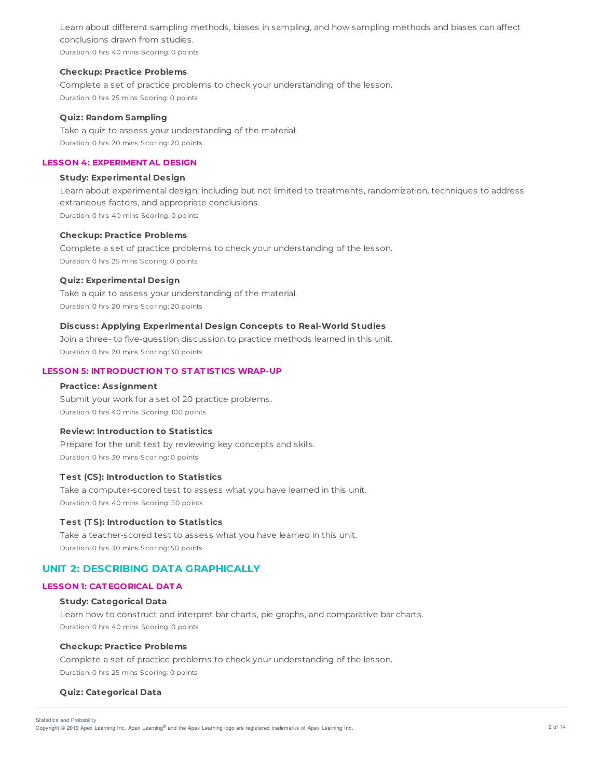Learn about different sampling methods, biases in sampling, and how sampling methods and biases can affect conclusions drawn from studies.

Duration: 0 hrs 40 mins Scoring: 0 points

### **Checkup: Practice Problems**

Complete a set of practice problems to check your understanding of the lesson. Duration: 0 hrs 25 mins Scoring: 0 points

### **Quiz: Random Sampling**

Take a quiz to assess your understanding of the material. Duration: 0 hrs 20 mins Scoring: 20 points

# **LESSON 4: EXPERIMENT AL DESIGN**

# **Study: Experimental Design**

Learn about experimental design, including but not limited to treatments, randomization, techniques to address extraneous factors, and appropriate conclusions. Duration: 0 hrs 40 mins Scoring: 0 points

### **Checkup: Practice Problems**

Complete a set of practice problems to check your understanding of the lesson. Duration: 0 hrs 25 mins Scoring: 0 points

### **Quiz: Experimental Design**

Take a quiz to assess your understanding of the material. Duration: 0 hrs 20 mins Scoring: 20 points

### **Discuss: Applying Experimental Design Concepts to Real-World Studies**

Join a three- to five-question discussion to practice methods learned in this unit. Duration: 0 hrs 20 mins Scoring: 30 points

### **LESSON 5: INT RODUCT ION T O ST AT IST ICS WRAP-UP**

#### **Practice: Assignment**

Submit your work for a set of 20 practice problems. Duration: 0 hrs 40 mins Scoring: 100 points

### **Review: Introduction to Statistics**

Prepare for the unit test by reviewing key concepts and skills. Duration: 0 hrs 30 mins Scoring: 0 points

### **T est (CS): Introduction to Statistics**

Take a computer-scored test to assess what you have learned in this unit. Duration: 0 hrs 40 mins Scoring: 50 points

### **T est (T S): Introduction to Statistics**

Take a teacher-scored test to assess what you have learned in this unit. Duration: 0 hrs 30 mins Scoring: 50 points

# **UNIT 2: DESCRIBING DATA GRAPHICALLY**

### **LESSON 1: CAT EGORICAL DAT A**

### **Study: Categorical Data**

Learn how to construct and interpret bar charts, pie graphs, and comparative bar charts. Duration: 0 hrs 40 mins Scoring: 0 points

### **Checkup: Practice Problems**

Complete a set of practice problems to check your understanding of the lesson. Duration: 0 hrs 25 mins Scoring: 0 points

### **Quiz: Categorical Data**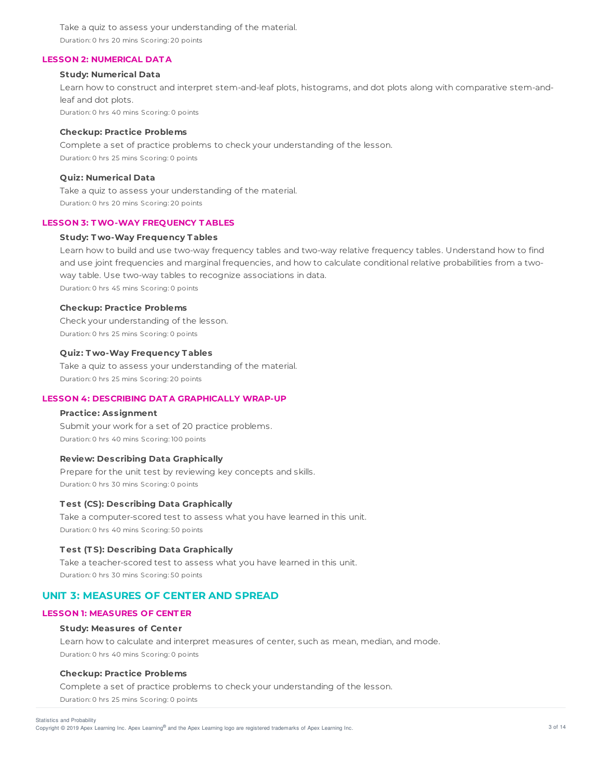Take a quiz to assess your understanding of the material. Duration: 0 hrs 20 mins Scoring: 20 points

### **LESSON 2: NUMERICAL DAT A**

## **Study: Numerical Data**

Learn how to construct and interpret stem-and-leaf plots, histograms, and dot plots along with comparative stem-andleaf and dot plots. Duration: 0 hrs 40 mins Scoring: 0 points

#### **Checkup: Practice Problems**

Complete a set of practice problems to check your understanding of the lesson. Duration: 0 hrs 25 mins Scoring: 0 points

# **Quiz: Numerical Data**

Take a quiz to assess your understanding of the material. Duration: 0 hrs 20 mins Scoring: 20 points

### **LESSON 3: TWO-WAY FREQUENCY T ABLES**

# **Study: T wo-Way Frequency T ables**

Learn how to build and use two-way frequency tables and two-way relative frequency tables. Understand how to find and use joint frequencies and marginal frequencies, and how to calculate conditional relative probabilities from a twoway table. Use two-way tables to recognize associations in data. Duration: 0 hrs 45 mins Scoring: 0 points

#### **Checkup: Practice Problems**

Check your understanding of the lesson. Duration: 0 hrs 25 mins Scoring: 0 points

# **Quiz: T wo-Way Frequency T ables**

Take a quiz to assess your understanding of the material. Duration: 0 hrs 25 mins Scoring: 20 points

### **LESSON 4: DESCRIBING DAT A GRAPHICALLY WRAP-UP**

## **Practice: Assignment**

Submit your work for a set of 20 practice problems. Duration: 0 hrs 40 mins Scoring: 100 points

## **Review: Describing Data Graphically**

Prepare for the unit test by reviewing key concepts and skills. Duration: 0 hrs 30 mins Scoring: 0 points

### **T est (CS): Describing Data Graphically**

Take a computer-scored test to assess what you have learned in this unit. Duration: 0 hrs 40 mins Scoring: 50 points

# **T est (T S): Describing Data Graphically**

Take a teacher-scored test to assess what you have learned in this unit. Duration: 0 hrs 30 mins Scoring: 50 points

# **UNIT 3: MEASURES OF CENTER AND SPREAD**

### **LESSON 1: MEASURES OF CENT ER**

#### **Study: Measures of Center**

Learn how to calculate and interpret measures of center, such as mean, median, and mode. Duration: 0 hrs 40 mins Scoring: 0 points

#### **Checkup: Practice Problems**

Complete a set of practice problems to check your understanding of the lesson. Duration: 0 hrs 25 mins Scoring: 0 points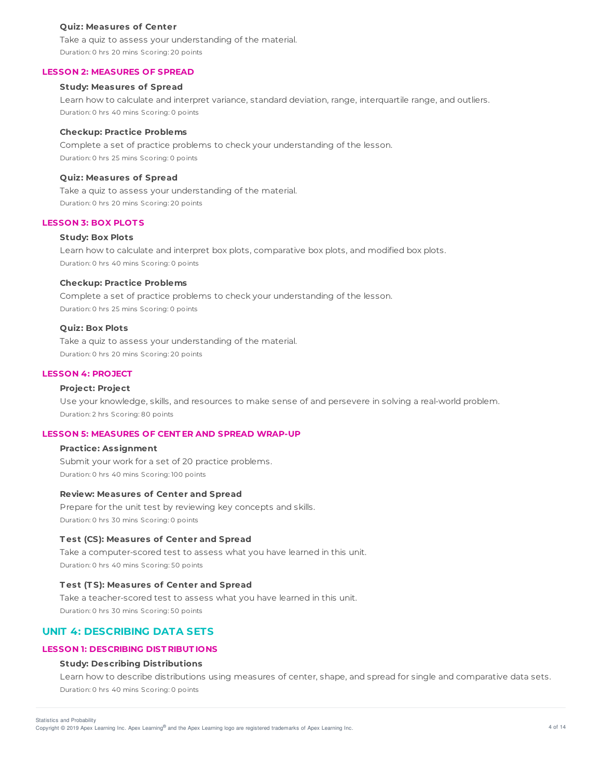#### **Quiz: Measures of Center**

Take a quiz to assess your understanding of the material. Duration: 0 hrs 20 mins Scoring: 20 points

## **LESSON 2: MEASURES OF SPREAD**

### **Study: Measures of Spread**

Learn how to calculate and interpret variance, standard deviation, range, interquartile range, and outliers. Duration: 0 hrs 40 mins Scoring: 0 points

#### **Checkup: Practice Problems**

Complete a set of practice problems to check your understanding of the lesson. Duration: 0 hrs 25 mins Scoring: 0 points

### **Quiz: Measures of Spread**

Take a quiz to assess your understanding of the material. Duration: 0 hrs 20 mins Scoring: 20 points

### **LESSON 3: BOX PLOT S**

### **Study: Box Plots**

Learn how to calculate and interpret box plots, comparative box plots, and modified box plots. Duration: 0 hrs 40 mins Scoring: 0 points

#### **Checkup: Practice Problems**

Complete a set of practice problems to check your understanding of the lesson. Duration: 0 hrs 25 mins Scoring: 0 points

### **Quiz: Box Plots**

Take a quiz to assess your understanding of the material. Duration: 0 hrs 20 mins Scoring: 20 points

### **LESSON 4: PROJECT**

### **Project: Project**

Use your knowledge, skills, and resources to make sense of and persevere in solving a real-world problem. Duration: 2 hrs Scoring: 80 points

# **LESSON 5: MEASURES OF CENT ER AND SPREAD WRAP-UP**

### **Practice: Assignment**

Submit your work for a set of 20 practice problems. Duration: 0 hrs 40 mins Scoring: 100 points

### **Review: Measures of Center and Spread**

Prepare for the unit test by reviewing key concepts and skills. Duration: 0 hrs 30 mins Scoring: 0 points

### **T est (CS): Measures of Center and Spread**

Take a computer-scored test to assess what you have learned in this unit. Duration: 0 hrs 40 mins Scoring: 50 points

### **T est (T S): Measures of Center and Spread**

Take a teacher-scored test to assess what you have learned in this unit. Duration: 0 hrs 30 mins Scoring: 50 points

# **UNIT 4: DESCRIBING DATA SETS**

# **LESSON 1: DESCRIBING DIST RIBUT IONS**

## **Study: Describing Distributions**

Learn how to describe distributions using measures of center, shape, and spread for single and comparative data sets. Duration: 0 hrs 40 mins Scoring: 0 points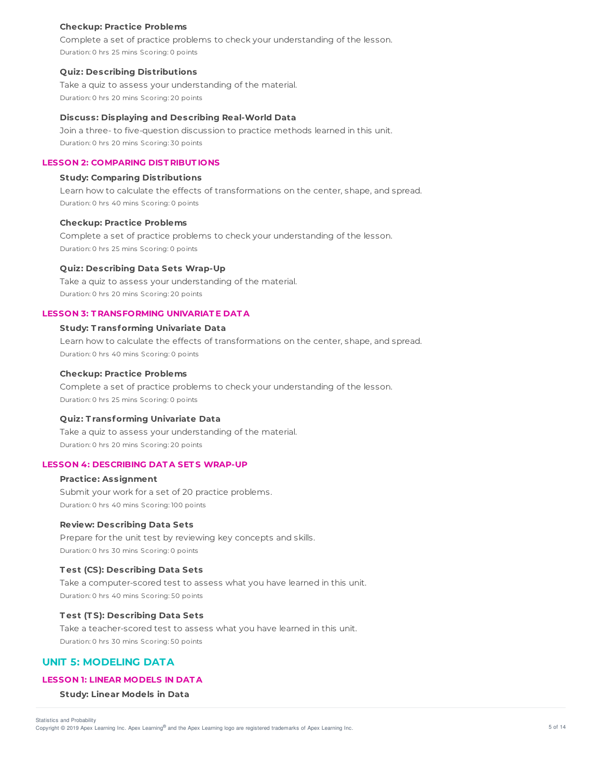### **Checkup: Practice Problems**

Complete a set of practice problems to check your understanding of the lesson. Duration: 0 hrs 25 mins Scoring: 0 points

#### **Quiz: Describing Distributions**

Take a quiz to assess your understanding of the material. Duration: 0 hrs 20 mins Scoring: 20 points

#### **Discuss: Displaying and Describing Real-World Data**

Join a three- to five-question discussion to practice methods learned in this unit. Duration: 0 hrs 20 mins Scoring: 30 points

## **LESSON 2: COMPARING DIST RIBUT IONS**

### **Study: Comparing Distributions**

Learn how to calculate the effects of transformations on the center, shape, and spread. Duration: 0 hrs 40 mins Scoring: 0 points

#### **Checkup: Practice Problems**

Complete a set of practice problems to check your understanding of the lesson. Duration: 0 hrs 25 mins Scoring: 0 points

#### **Quiz: Describing Data Sets Wrap-Up**

Take a quiz to assess your understanding of the material. Duration: 0 hrs 20 mins Scoring: 20 points

### **LESSON 3: T RANSFORMING UNIVARIAT E DAT A**

### **Study: T ransforming Univariate Data**

Learn how to calculate the effects of transformations on the center, shape, and spread. Duration: 0 hrs 40 mins Scoring: 0 points

### **Checkup: Practice Problems**

Complete a set of practice problems to check your understanding of the lesson. Duration: 0 hrs 25 mins Scoring: 0 points

#### **Quiz: T ransforming Univariate Data**

Take a quiz to assess your understanding of the material. Duration: 0 hrs 20 mins Scoring: 20 points

# **LESSON 4: DESCRIBING DAT A SET S WRAP-UP**

**Practice: Assignment** Submit your work for a set of 20 practice problems. Duration: 0 hrs 40 mins Scoring: 100 points

### **Review: Describing Data Sets**

Prepare for the unit test by reviewing key concepts and skills. Duration: 0 hrs 30 mins Scoring: 0 points

### **T est (CS): Describing Data Sets**

Take a computer-scored test to assess what you have learned in this unit. Duration: 0 hrs 40 mins Scoring: 50 points

## **T est (T S): Describing Data Sets**

Take a teacher-scored test to assess what you have learned in this unit. Duration: 0 hrs 30 mins Scoring: 50 points

# **UNIT 5: MODELING DATA**

## **LESSON 1: LINEAR MODELS IN DAT A**

**Study: Linear Models in Data**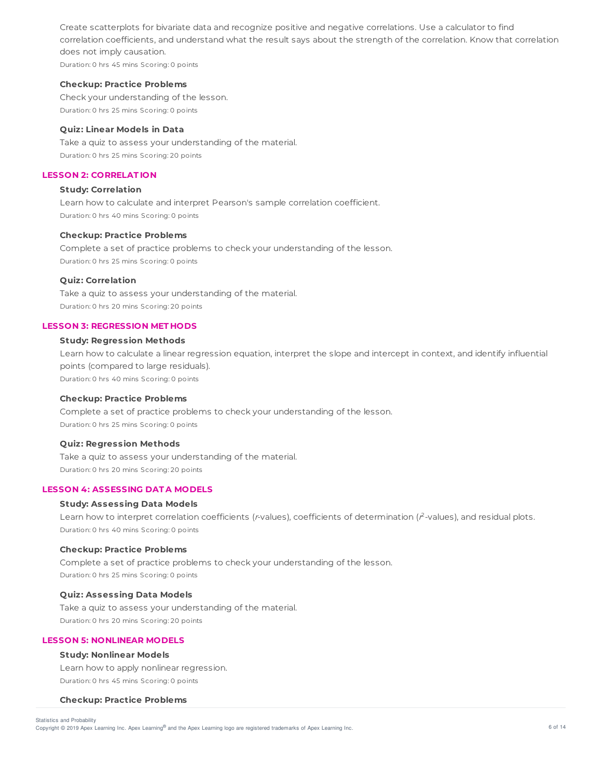Create scatterplots for bivariate data and recognize positive and negative correlations. Use a calculator to find correlation coefficients, and understand what the result says about the strength of the correlation. Know that correlation does not imply causation.

Duration: 0 hrs 45 mins Scoring: 0 points

#### **Checkup: Practice Problems**

Check your understanding of the lesson. Duration: 0 hrs 25 mins Scoring: 0 points

# **Quiz: Linear Models in Data**

Take a quiz to assess your understanding of the material. Duration: 0 hrs 25 mins Scoring: 20 points

# **LESSON 2: CORRELAT ION**

# **Study: Correlation**

Learn how to calculate and interpret Pearson's sample correlation coefficient. Duration: 0 hrs 40 mins Scoring: 0 points

#### **Checkup: Practice Problems**

Complete a set of practice problems to check your understanding of the lesson. Duration: 0 hrs 25 mins Scoring: 0 points

# **Quiz: Correlation**

Take a quiz to assess your understanding of the material. Duration: 0 hrs 20 mins Scoring: 20 points

### **LESSON 3: REGRESSION MET HODS**

## **Study: Regression Methods**

Learn how to calculate a linear regression equation, interpret the slope and intercept in context, and identify influential points (compared to large residuals). Duration: 0 hrs 40 mins Scoring: 0 points

### **Checkup: Practice Problems**

Complete a set of practice problems to check your understanding of the lesson. Duration: 0 hrs 25 mins Scoring: 0 points

### **Quiz: Regression Methods**

Take a quiz to assess your understanding of the material. Duration: 0 hrs 20 mins Scoring: 20 points

# **LESSON 4: ASSESSING DAT A MODELS**

# **Study: Assessing Data Models**

Learn how to interpret correlation coefficients ( $r$ -values), coefficients of determination ( $r^2$ -values), and residual plots. Duration: 0 hrs 40 mins Scoring: 0 points

### **Checkup: Practice Problems**

Complete a set of practice problems to check your understanding of the lesson. Duration: 0 hrs 25 mins Scoring: 0 points

### **Quiz: Assessing Data Models**

Take a quiz to assess your understanding of the material. Duration: 0 hrs 20 mins Scoring: 20 points

### **LESSON 5: NONLINEAR MODELS**

## **Study: Nonlinear Models**

Learn how to apply nonlinear regression. Duration: 0 hrs 45 mins Scoring: 0 points

#### **Checkup: Practice Problems**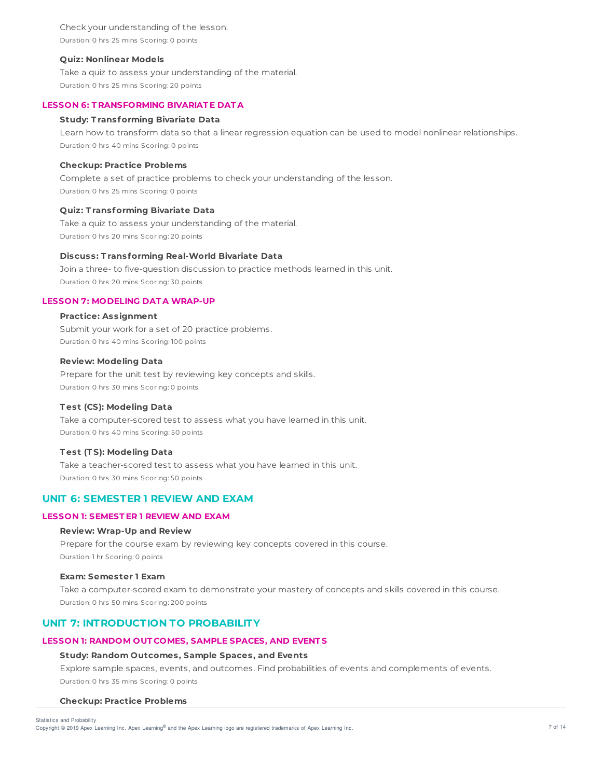Check your understanding of the lesson. Duration: 0 hrs 25 mins Scoring: 0 points

### **Quiz: Nonlinear Models**

Take a quiz to assess your understanding of the material. Duration: 0 hrs 25 mins Scoring: 20 points

### **LESSON 6: T RANSFORMING BIVARIAT E DAT A**

### **Study: T ransforming Bivariate Data**

Learn how to transform data so that a linear regression equation can be used to model nonlinear relationships. Duration: 0 hrs 40 mins Scoring: 0 points

### **Checkup: Practice Problems**

Complete a set of practice problems to check your understanding of the lesson. Duration: 0 hrs 25 mins Scoring: 0 points

### **Quiz: T ransforming Bivariate Data**

Take a quiz to assess your understanding of the material. Duration: 0 hrs 20 mins Scoring: 20 points

#### **Discuss: T ransforming Real-World Bivariate Data**

Join a three- to five-question discussion to practice methods learned in this unit. Duration: 0 hrs 20 mins Scoring: 30 points

### **LESSON 7: MODELING DAT A WRAP-UP**

### **Practice: Assignment**

Submit your work for a set of 20 practice problems. Duration: 0 hrs 40 mins Scoring: 100 points

## **Review: Modeling Data**

Prepare for the unit test by reviewing key concepts and skills. Duration: 0 hrs 30 mins Scoring: 0 points

### **T est (CS): Modeling Data**

Take a computer-scored test to assess what you have learned in this unit. Duration: 0 hrs 40 mins Scoring: 50 points

### **T est (T S): Modeling Data**

Take a teacher-scored test to assess what you have learned in this unit. Duration: 0 hrs 30 mins Scoring: 50 points

# **UNIT 6: SEMESTER 1 REVIEW AND EXAM**

## **LESSON 1: SEMEST ER 1 REVIEW AND EXAM**

### **Review: Wrap-Up and Review**

Prepare for the course exam by reviewing key concepts covered in this course. Duration: 1 hr Scoring: 0 points

### **Exam: Semester 1 Exam**

Take a computer-scored exam to demonstrate your mastery of concepts and skills covered in this course. Duration: 0 hrs 50 mins Scoring: 200 points

# **UNIT 7: INTRODUCTION TO PROBABILITY**

### **LESSON 1: RANDOM OUT COMES, SAMPLE SPACES, AND EVENT S**

### **Study: Random Outcomes, Sample Spaces, and Events**

Explore sample spaces, events, and outcomes. Find probabilities of events and complements of events. Duration: 0 hrs 35 mins Scoring: 0 points

#### **Checkup: Practice Problems**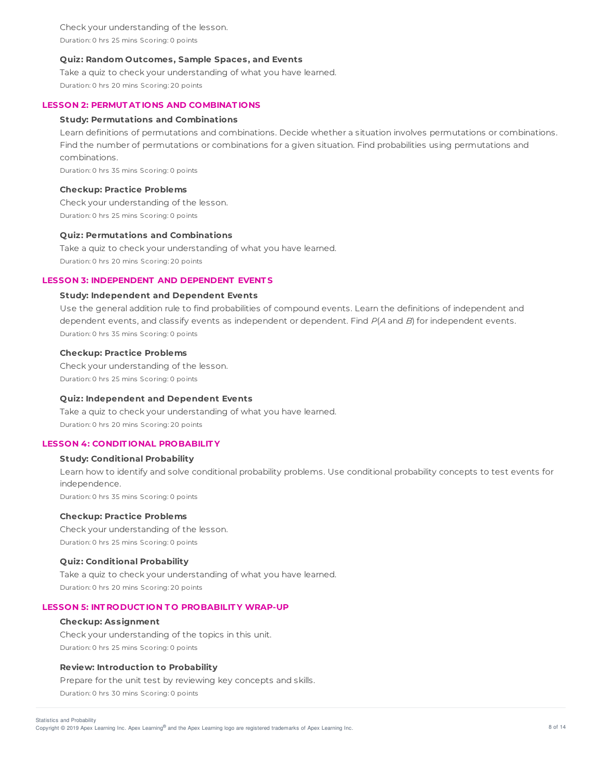Check your understanding of the lesson. Duration: 0 hrs 25 mins Scoring: 0 points

### **Quiz: Random Outcomes, Sample Spaces, and Events**

Take a quiz to check your understanding of what you have learned. Duration: 0 hrs 20 mins Scoring: 20 points

### **LESSON 2: PERMUT AT IONS AND COMBINAT IONS**

### **Study: Permutations and Combinations**

Learn definitions of permutations and combinations. Decide whether a situation involves permutations or combinations. Find the number of permutations or combinations for a given situation. Find probabilities using permutations and combinations.

Duration: 0 hrs 35 mins Scoring: 0 points

### **Checkup: Practice Problems**

Check your understanding of the lesson. Duration: 0 hrs 25 mins Scoring: 0 points

#### **Quiz: Permutations and Combinations**

Take a quiz to check your understanding of what you have learned. Duration: 0 hrs 20 mins Scoring: 20 points

# **LESSON 3: INDEPENDENT AND DEPENDENT EVENT S**

### **Study: Independent and Dependent Events**

Use the general addition rule to find probabilities of compound events. Learn the definitions of independent and dependent events, and classify events as independent or dependent. Find  $P(A \text{ and } B)$  for independent events. Duration: 0 hrs 35 mins Scoring: 0 points

### **Checkup: Practice Problems**

Check your understanding of the lesson. Duration: 0 hrs 25 mins Scoring: 0 points

### **Quiz: Independent and Dependent Events**

Take a quiz to check your understanding of what you have learned. Duration: 0 hrs 20 mins Scoring: 20 points

# **LESSON 4: CONDIT IONAL PROBABILIT Y**

### **Study: Conditional Probability**

Learn how to identify and solve conditional probability problems. Use conditional probability concepts to test events for independence. Duration: 0 hrs 35 mins Scoring: 0 points

#### **Checkup: Practice Problems**

Check your understanding of the lesson. Duration: 0 hrs 25 mins Scoring: 0 points

### **Quiz: Conditional Probability**

Take a quiz to check your understanding of what you have learned. Duration: 0 hrs 20 mins Scoring: 20 points

### **LESSON 5: INT RODUCT ION T O PROBABILIT Y WRAP-UP**

#### **Checkup: Assignment**

Check your understanding of the topics in this unit. Duration: 0 hrs 25 mins Scoring: 0 points

### **Review: Introduction to Probability**

Prepare for the unit test by reviewing key concepts and skills. Duration: 0 hrs 30 mins Scoring: 0 points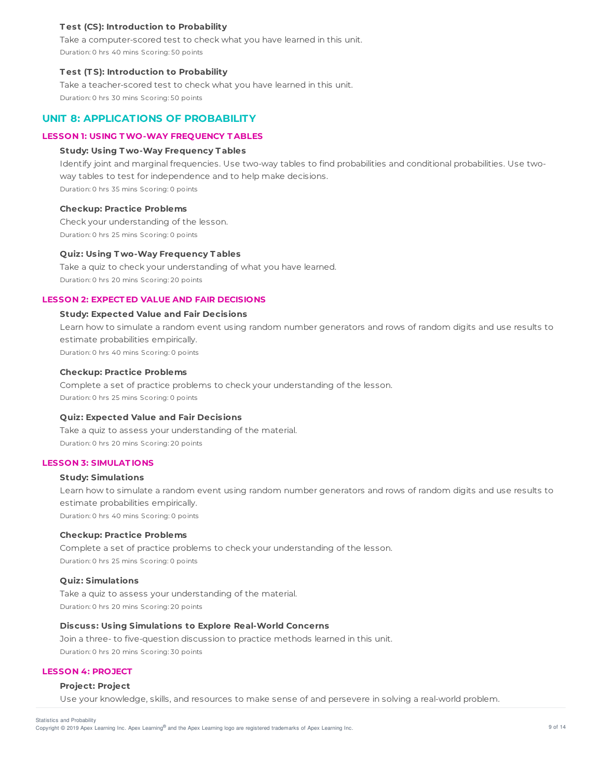## **T est (CS): Introduction to Probability**

Take a computer-scored test to check what you have learned in this unit. Duration: 0 hrs 40 mins Scoring: 50 points

### **T est (T S): Introduction to Probability**

Take a teacher-scored test to check what you have learned in this unit. Duration: 0 hrs 30 mins Scoring: 50 points

# **UNIT 8: APPLICATIONS OF PROBABILITY**

# **LESSON 1: USING TWO-WAY FREQUENCY T ABLES**

### **Study: Using T wo-Way Frequency T ables**

Identify joint and marginal frequencies. Use two-way tables to find probabilities and conditional probabilities. Use twoway tables to test for independence and to help make decisions.

Duration: 0 hrs 35 mins Scoring: 0 points

### **Checkup: Practice Problems**

Check your understanding of the lesson. Duration: 0 hrs 25 mins Scoring: 0 points

### **Quiz: Using T wo-Way Frequency T ables**

Take a quiz to check your understanding of what you have learned. Duration: 0 hrs 20 mins Scoring: 20 points

# **LESSON 2: EXPECT ED VALUE AND FAIR DECISIONS**

### **Study: Expected Value and Fair Decisions**

Learn how to simulate a random event using random number generators and rows of random digits and use results to estimate probabilities empirically. Duration: 0 hrs 40 mins Scoring: 0 points

**Checkup: Practice Problems**

# Complete a set of practice problems to check your understanding of the lesson.

Duration: 0 hrs 25 mins Scoring: 0 points

### **Quiz: Expected Value and Fair Decisions**

Take a quiz to assess your understanding of the material. Duration: 0 hrs 20 mins Scoring: 20 points

# **LESSON 3: SIMULAT IONS**

# **Study: Simulations**

Learn how to simulate a random event using random number generators and rows of random digits and use results to estimate probabilities empirically. Duration: 0 hrs 40 mins Scoring: 0 points

#### **Checkup: Practice Problems**

Complete a set of practice problems to check your understanding of the lesson. Duration: 0 hrs 25 mins Scoring: 0 points

#### **Quiz: Simulations**

Take a quiz to assess your understanding of the material. Duration: 0 hrs 20 mins Scoring: 20 points

# **Discuss: Using Simulations to Explore Real-World Concerns**

Join a three- to five-question discussion to practice methods learned in this unit. Duration: 0 hrs 20 mins Scoring: 30 points

### **LESSON 4: PROJECT**

### **Project: Project**

Use your knowledge, skills, and resources to make sense of and persevere in solving a real-world problem.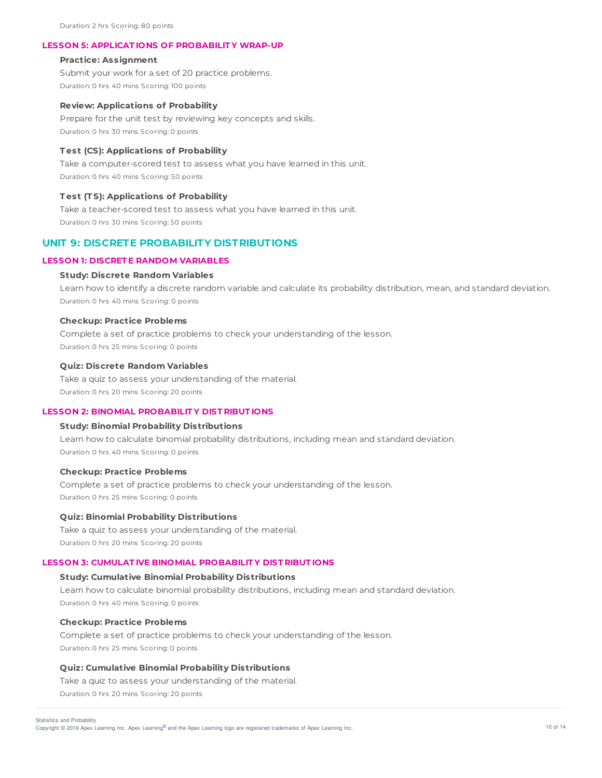Duration: 2 hrs Scoring: 80 points

## **LESSON 5: APPLICAT IONS OF PROBABILIT Y WRAP-UP**

### **Practice: Assignment**

Submit your work for a set of 20 practice problems. Duration: 0 hrs 40 mins Scoring: 100 points

#### **Review: Applications of Probability**

Prepare for the unit test by reviewing key concepts and skills. Duration: 0 hrs 30 mins Scoring: 0 points

#### **T est (CS): Applications of Probability**

Take a computer-scored test to assess what you have learned in this unit. Duration: 0 hrs 40 mins Scoring: 50 points

#### **T est (T S): Applications of Probability**

Take a teacher-scored test to assess what you have learned in this unit. Duration: 0 hrs 30 mins Scoring: 50 points

# **UNIT 9: DISCRETE PROBABILITY DISTRIBUTIONS**

# **LESSON 1: DISCRET E RANDOM VARIABLES**

### **Study: Discrete Random Variables**

Learn how to identify a discrete random variable and calculate its probability distribution, mean, and standard deviation. Duration: 0 hrs 40 mins Scoring: 0 points

### **Checkup: Practice Problems**

Complete a set of practice problems to check your understanding of the lesson. Duration: 0 hrs 25 mins Scoring: 0 points

### **Quiz: Discrete Random Variables**

Take a quiz to assess your understanding of the material. Duration: 0 hrs 20 mins Scoring: 20 points

### **LESSON 2: BINOMIAL PROBABILIT Y DIST RIBUT IONS**

## **Study: Binomial Probability Distributions**

Learn how to calculate binomial probability distributions, including mean and standard deviation. Duration: 0 hrs 40 mins Scoring: 0 points

### **Checkup: Practice Problems**

Complete a set of practice problems to check your understanding of the lesson. Duration: 0 hrs 25 mins Scoring: 0 points

### **Quiz: Binomial Probability Distributions**

Take a quiz to assess your understanding of the material. Duration: 0 hrs 20 mins Scoring: 20 points

# **LESSON 3: CUMULAT IVE BINOMIAL PROBABILIT Y DIST RIBUT IONS**

### **Study: Cumulative Binomial Probability Distributions**

Learn how to calculate binomial probability distributions, including mean and standard deviation. Duration: 0 hrs 40 mins Scoring: 0 points

### **Checkup: Practice Problems**

Complete a set of practice problems to check your understanding of the lesson. Duration: 0 hrs 25 mins Scoring: 0 points

## **Quiz: Cumulative Binomial Probability Distributions**

Take a quiz to assess your understanding of the material.

Duration: 0 hrs 20 mins Scoring: 20 points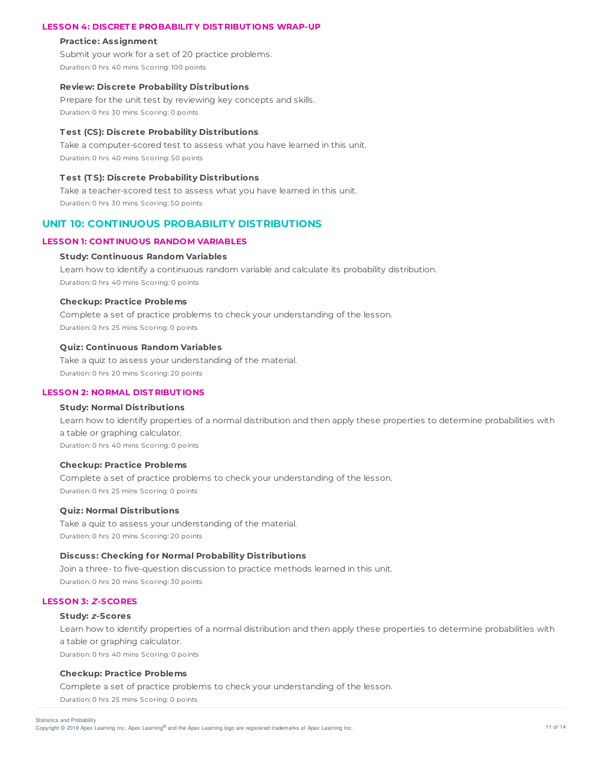## **LESSON 4: DISCRET E PROBABILIT Y DIST RIBUT IONS WRAP-UP**

#### **Practice: Assignment**

Submit your work for a set of 20 practice problems. Duration: 0 hrs 40 mins Scoring: 100 points

### **Review: Discrete Probability Distributions**

Prepare for the unit test by reviewing key concepts and skills. Duration: 0 hrs 30 mins Scoring: 0 points

### **T est (CS): Discrete Probability Distributions**

Take a computer-scored test to assess what you have learned in this unit. Duration: 0 hrs 40 mins Scoring: 50 points

# **T est (T S): Discrete Probability Distributions**

Take a teacher-scored test to assess what you have learned in this unit. Duration: 0 hrs 30 mins Scoring: 50 points

# **UNIT 10: CONTINUOUS PROBABILITY DISTRIBUTIONS**

#### **LESSON 1: CONT INUOUS RANDOM VARIABLES**

#### **Study: Continuous Random Variables**

Learn how to identify a continuous random variable and calculate its probability distribution. Duration: 0 hrs 40 mins Scoring: 0 points

## **Checkup: Practice Problems**

Complete a set of practice problems to check your understanding of the lesson. Duration: 0 hrs 25 mins Scoring: 0 points

#### **Quiz: Continuous Random Variables**

Take a quiz to assess your understanding of the material. Duration: 0 hrs 20 mins Scoring: 20 points

# **LESSON 2: NORMAL DIST RIBUT IONS**

### **Study: Normal Distributions**

Learn how to identify properties of a normal distribution and then apply these properties to determine probabilities with a table or graphing calculator. Duration: 0 hrs 40 mins Scoring: 0 points

# **Checkup: Practice Problems**

Complete a set of practice problems to check your understanding of the lesson. Duration: 0 hrs 25 mins Scoring: 0 points

#### **Quiz: Normal Distributions**

Take a quiz to assess your understanding of the material. Duration: 0 hrs 20 mins Scoring: 20 points

### **Discuss: Checking for Normal Probability Distributions**

Join a three- to five-question discussion to practice methods learned in this unit. Duration: 0 hrs 20 mins Scoring: 30 points

# **LESSON 3: Z-SCORES**

## **Study: <sup>z</sup>-Scores**

Learn how to identify properties of a normal distribution and then apply these properties to determine probabilities with a table or graphing calculator. Duration: 0 hrs 40 mins Scoring: 0 points

#### **Checkup: Practice Problems**

Complete a set of practice problems to check your understanding of the lesson. Duration: 0 hrs 25 mins Scoring: 0 points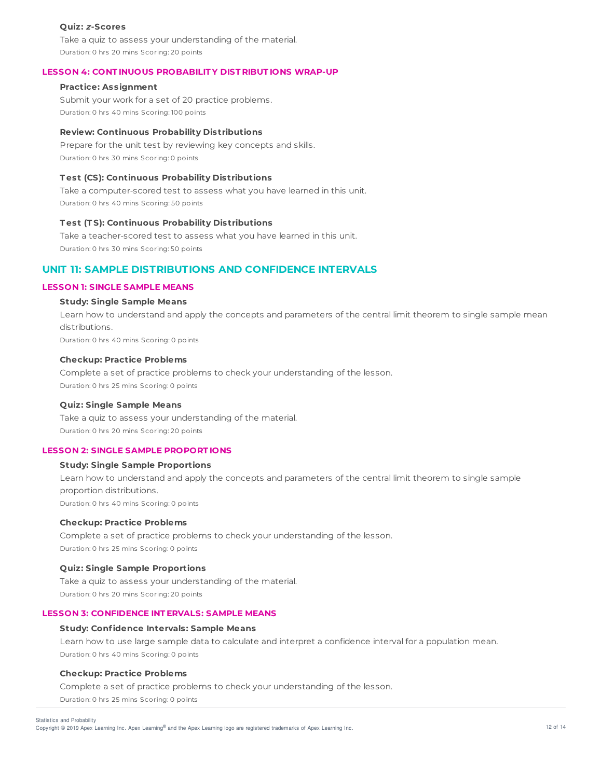### **Quiz: <sup>z</sup>-Scores**

Take a quiz to assess your understanding of the material. Duration: 0 hrs 20 mins Scoring: 20 points

## **LESSON 4: CONT INUOUS PROBABILIT Y DIST RIBUT IONS WRAP-UP**

### **Practice: Assignment**

Submit your work for a set of 20 practice problems. Duration: 0 hrs 40 mins Scoring: 100 points

### **Review: Continuous Probability Distributions**

Prepare for the unit test by reviewing key concepts and skills. Duration: 0 hrs 30 mins Scoring: 0 points

## **T est (CS): Continuous Probability Distributions**

Take a computer-scored test to assess what you have learned in this unit. Duration: 0 hrs 40 mins Scoring: 50 points

### **T est (T S): Continuous Probability Distributions**

Take a teacher-scored test to assess what you have learned in this unit. Duration: 0 hrs 30 mins Scoring: 50 points

# **UNIT 11: SAMPLE DISTRIBUTIONS AND CONFIDENCE INTERVALS**

### **LESSON 1: SINGLE SAMPLE MEANS**

### **Study: Single Sample Means**

Learn how to understand and apply the concepts and parameters of the central limit theorem to single sample mean distributions. Duration: 0 hrs 40 mins Scoring: 0 points

### **Checkup: Practice Problems**

Complete a set of practice problems to check your understanding of the lesson. Duration: 0 hrs 25 mins Scoring: 0 points

### **Quiz: Single Sample Means**

Take a quiz to assess your understanding of the material. Duration: 0 hrs 20 mins Scoring: 20 points

### **LESSON 2: SINGLE SAMPLE PROPORT IONS**

# **Study: Single Sample Proportions**

Learn how to understand and apply the concepts and parameters of the central limit theorem to single sample proportion distributions. Duration: 0 hrs 40 mins Scoring: 0 points

#### **Checkup: Practice Problems**

Complete a set of practice problems to check your understanding of the lesson. Duration: 0 hrs 25 mins Scoring: 0 points

## **Quiz: Single Sample Proportions**

Take a quiz to assess your understanding of the material. Duration: 0 hrs 20 mins Scoring: 20 points

#### **LESSON 3: CONFIDENCE INT ERVALS: SAMPLE MEANS**

#### **Study: Confidence Intervals: Sample Means**

Learn how to use large sample data to calculate and interpret a confidence interval for a population mean. Duration: 0 hrs 40 mins Scoring: 0 points

#### **Checkup: Practice Problems**

Complete a set of practice problems to check your understanding of the lesson. Duration: 0 hrs 25 mins Scoring: 0 points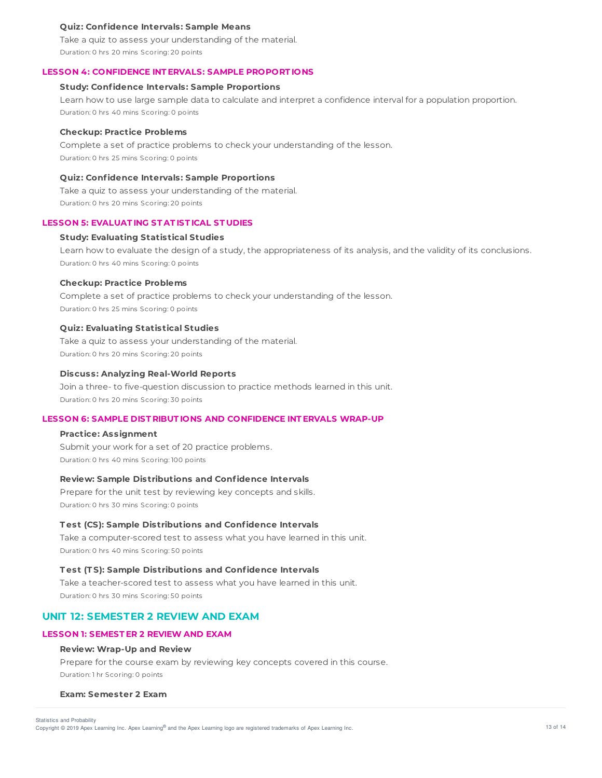### **Quiz: Confidence Intervals: Sample Means**

Take a quiz to assess your understanding of the material. Duration: 0 hrs 20 mins Scoring: 20 points

#### **LESSON 4: CONFIDENCE INT ERVALS: SAMPLE PROPORT IONS**

### **Study: Confidence Intervals: Sample Proportions**

Learn how to use large sample data to calculate and interpret a confidence interval for a population proportion. Duration: 0 hrs 40 mins Scoring: 0 points

#### **Checkup: Practice Problems**

Complete a set of practice problems to check your understanding of the lesson. Duration: 0 hrs 25 mins Scoring: 0 points

### **Quiz: Confidence Intervals: Sample Proportions**

Take a quiz to assess your understanding of the material. Duration: 0 hrs 20 mins Scoring: 20 points

### **LESSON 5: EVALUAT ING ST AT IST ICAL ST UDIES**

### **Study: Evaluating Statistical Studies**

Learn how to evaluate the design of a study, the appropriateness of its analysis, and the validity of its conclusions. Duration: 0 hrs 40 mins Scoring: 0 points

#### **Checkup: Practice Problems**

Complete a set of practice problems to check your understanding of the lesson. Duration: 0 hrs 25 mins Scoring: 0 points

### **Quiz: Evaluating Statistical Studies**

Take a quiz to assess your understanding of the material. Duration: 0 hrs 20 mins Scoring: 20 points

### **Discuss: Analyzing Real-World Reports**

Join a three- to five-question discussion to practice methods learned in this unit. Duration: 0 hrs 20 mins Scoring: 30 points

# **LESSON 6: SAMPLE DIST RIBUT IONS AND CONFIDENCE INT ERVALS WRAP-UP**

### **Practice: Assignment**

Submit your work for a set of 20 practice problems. Duration: 0 hrs 40 mins Scoring: 100 points

### **Review: Sample Distributions and Confidence Intervals**

Prepare for the unit test by reviewing key concepts and skills. Duration: 0 hrs 30 mins Scoring: 0 points

### **T est (CS): Sample Distributions and Confidence Intervals**

Take a computer-scored test to assess what you have learned in this unit. Duration: 0 hrs 40 mins Scoring: 50 points

# **T est (T S): Sample Distributions and Confidence Intervals**

Take a teacher-scored test to assess what you have learned in this unit. Duration: 0 hrs 30 mins Scoring: 50 points

# **UNIT 12: SEMESTER 2 REVIEW AND EXAM**

### **LESSON 1: SEMEST ER 2 REVIEW AND EXAM**

### **Review: Wrap-Up and Review**

Prepare for the course exam by reviewing key concepts covered in this course. Duration: 1 hr Scoring: 0 points

#### **Exam: Semester 2 Exam**